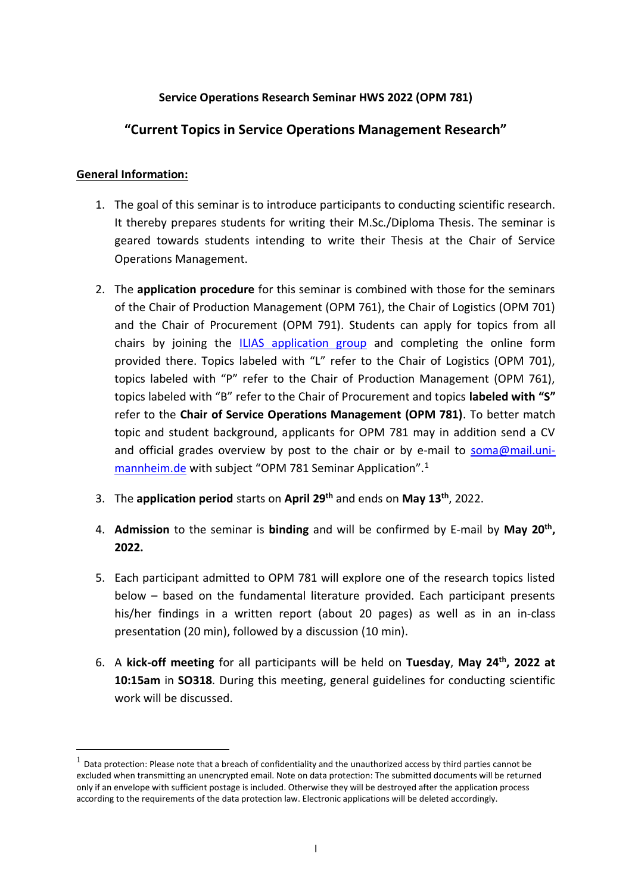# **Service Operations Research Seminar HWS 2022 (OPM 781)**

# **"Current Topics in Service Operations Management Research"**

# **General Information:**

- 1. The goal of this seminar is to introduce participants to conducting scientific research. It thereby prepares students for writing their M.Sc./Diploma Thesis. The seminar is geared towards students intending to write their Thesis at the Chair of Service Operations Management.
- 2. The **application procedure** for this seminar is combined with those for the seminars of the Chair of Production Management (OPM 761), the Chair of Logistics (OPM 701) and the Chair of Procurement (OPM 791). Students can apply for topics from all chairs by joining the [ILIAS application group](https://ilias.uni-mannheim.de/goto.php?target=crs_792293&client_id=ILIAS) and completing the online form provided there. Topics labeled with "L" refer to the Chair of Logistics (OPM 701), topics labeled with "P" refer to the Chair of Production Management (OPM 761), topics labeled with "B" refer to the Chair of Procurement and topics **labeled with "S"** refer to the **Chair of Service Operations Management (OPM 781)**. To better match topic and student background, applicants for OPM 781 may in addition send a CV and official grades overview by post to the chair or by e-mail to [soma@mail.uni](mailto:soma@mail.uni-mannheim.de)[mannheim.de](mailto:soma@mail.uni-mannheim.de) with subject "OPM 781 Seminar Application".<sup>1</sup>
- 3. The **application period** starts on **April 29th** and ends on **May 13th** , 2022.
- 4. **Admission** to the seminar is **binding** and will be confirmed by E‐mail by **May 20th , 2022.**
- 5. Each participant admitted to OPM 781 will explore one of the research topics listed below – based on the fundamental literature provided. Each participant presents his/her findings in a written report (about 20 pages) as well as in an in-class presentation (20 min), followed by a discussion (10 min).
- 6. A **kick‐off meeting** for all participants will be held on **Tuesday**, **May 24th, 2022 at 10:15am** in **SO318**. During this meeting, general guidelines for conducting scientific work will be discussed.

 $1$  Data protection: Please note that a breach of confidentiality and the unauthorized access by third parties cannot be excluded when transmitting an unencrypted email. Note on data protection: The submitted documents will be returned only if an envelope with sufficient postage is included. Otherwise they will be destroyed after the application process according to the requirements of the data protection law. Electronic applications will be deleted accordingly.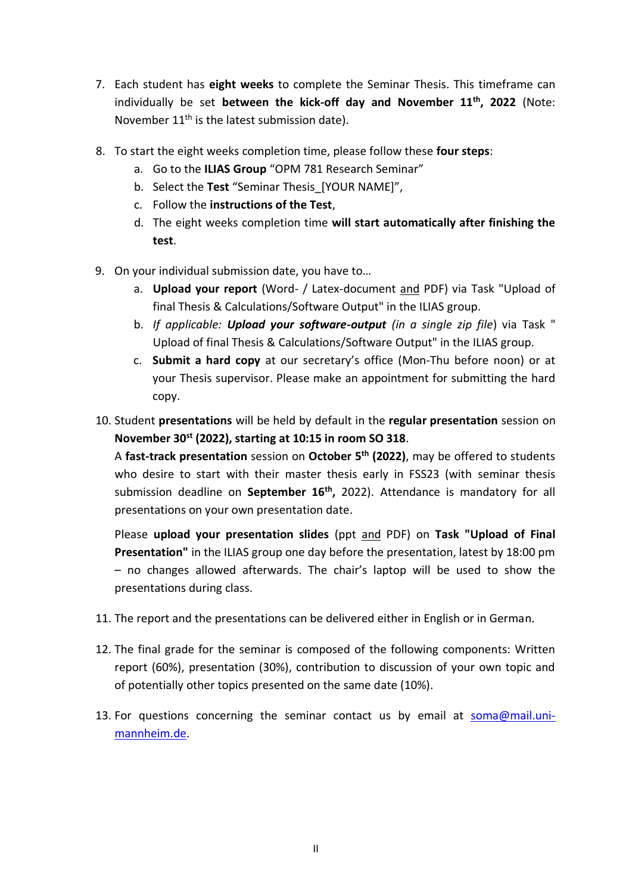- 7. Each student has **eight weeks** to complete the Seminar Thesis. This timeframe can individually be set **between the kick-off day and November 11th , 2022** (Note: November  $11<sup>th</sup>$  is the latest submission date).
- 8. To start the eight weeks completion time, please follow these **four steps**:
	- a. Go to the **ILIAS Group** "OPM 781 Research Seminar"
	- b. Select the **Test** "Seminar Thesis\_[YOUR NAME]",
	- c. Follow the **instructions of the Test**,
	- d. The eight weeks completion time **will start automatically after finishing the test**.
- 9. On your individual submission date, you have to…
	- a. **Upload your report** (Word- / Latex-document and PDF) via Task "Upload of final Thesis & Calculations/Software Output" in the ILIAS group.
	- b. *If applicable: Upload your software-output (in a single zip file*) via Task " Upload of final Thesis & Calculations/Software Output" in the ILIAS group.
	- c. **Submit a hard copy** at our secretary's office (Mon-Thu before noon) or at your Thesis supervisor. Please make an appointment for submitting the hard copy.
- 10. Student **presentations** will be held by default in the **regular presentation** session on **November 30st (2022), starting at 10:15 in room SO 318**.

A **fast-track presentation** session on **October 5th (2022)**, may be offered to students who desire to start with their master thesis early in FSS23 (with seminar thesis submission deadline on **September 16th ,** 2022). Attendance is mandatory for all presentations on your own presentation date.

Please **upload your presentation slides** (ppt and PDF) on **Task "Upload of Final Presentation"** in the ILIAS group one day before the presentation, latest by 18:00 pm – no changes allowed afterwards. The chair's laptop will be used to show the presentations during class.

- 11. The report and the presentations can be delivered either in English or in German.
- 12. The final grade for the seminar is composed of the following components: Written report (60%), presentation (30%), contribution to discussion of your own topic and of potentially other topics presented on the same date (10%).
- 13. For questions concerning the seminar contact us by email at [soma@mail.uni](mailto:soma@mail.uni-mannheim.de)[mannheim.de.](mailto:soma@mail.uni-mannheim.de)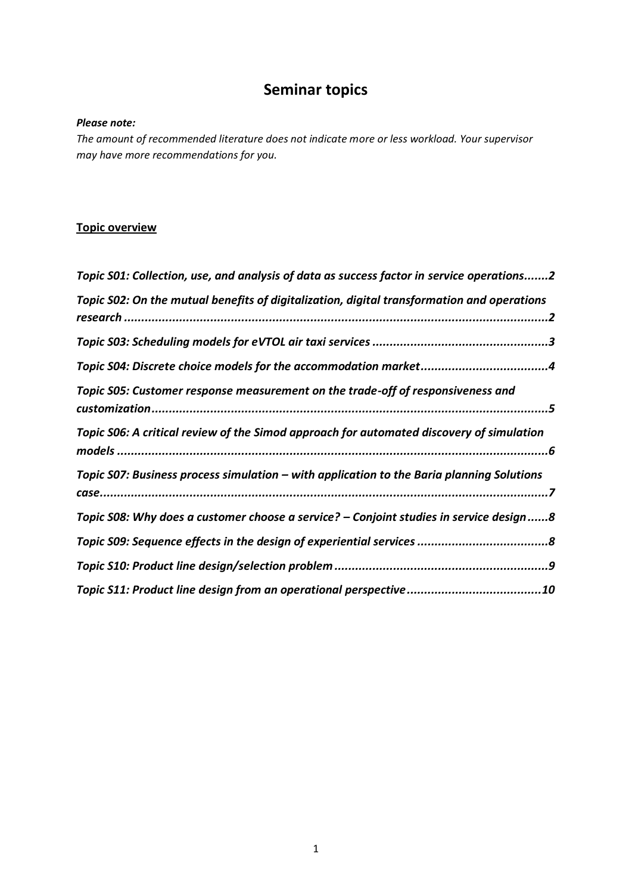# **Seminar topics**

#### *Please note:*

*The amount of recommended literature does not indicate more or less workload. Your supervisor may have more recommendations for you.*

# **Topic overview**

| Topic S01: Collection, use, and analysis of data as success factor in service operations2  |
|--------------------------------------------------------------------------------------------|
| Topic S02: On the mutual benefits of digitalization, digital transformation and operations |
|                                                                                            |
|                                                                                            |
| Topic S05: Customer response measurement on the trade-off of responsiveness and            |
| Topic S06: A critical review of the Simod approach for automated discovery of simulation   |
| Topic S07: Business process simulation – with application to the Baria planning Solutions  |
| Topic S08: Why does a customer choose a service? - Conjoint studies in service design8     |
|                                                                                            |
|                                                                                            |
|                                                                                            |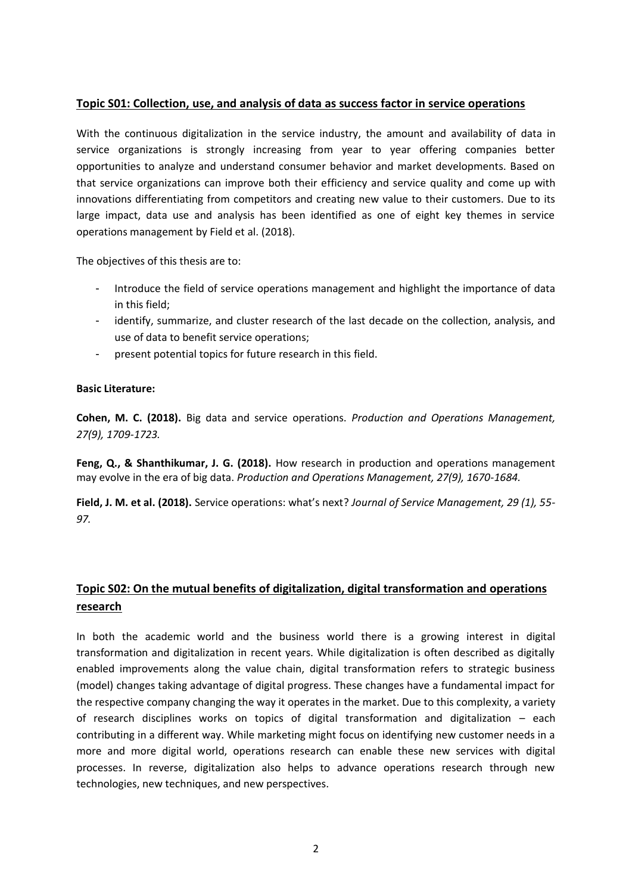# <span id="page-3-0"></span>**Topic S01: Collection, use, and analysis of data as success factor in service operations**

With the continuous digitalization in the service industry, the amount and availability of data in service organizations is strongly increasing from year to year offering companies better opportunities to analyze and understand consumer behavior and market developments. Based on that service organizations can improve both their efficiency and service quality and come up with innovations differentiating from competitors and creating new value to their customers. Due to its large impact, data use and analysis has been identified as one of eight key themes in service operations management by Field et al. (2018).

The objectives of this thesis are to:

- Introduce the field of service operations management and highlight the importance of data in this field;
- identify, summarize, and cluster research of the last decade on the collection, analysis, and use of data to benefit service operations;
- present potential topics for future research in this field.

#### **Basic Literature:**

**Cohen, M. C. (2018).** Big data and service operations. *Production and Operations Management, 27(9), 1709-1723.*

**Feng, Q., & Shanthikumar, J. G. (2018).** How research in production and operations management may evolve in the era of big data. *Production and Operations Management, 27(9), 1670-1684.*

**Field, J. M. et al. (2018).** Service operations: what's next? *Journal of Service Management, 29 (1), 55- 97.*

# <span id="page-3-1"></span>**Topic S02: On the mutual benefits of digitalization, digital transformation and operations research**

In both the academic world and the business world there is a growing interest in digital transformation and digitalization in recent years. While digitalization is often described as digitally enabled improvements along the value chain, digital transformation refers to strategic business (model) changes taking advantage of digital progress. These changes have a fundamental impact for the respective company changing the way it operates in the market. Due to this complexity, a variety of research disciplines works on topics of digital transformation and digitalization – each contributing in a different way. While marketing might focus on identifying new customer needs in a more and more digital world, operations research can enable these new services with digital processes. In reverse, digitalization also helps to advance operations research through new technologies, new techniques, and new perspectives.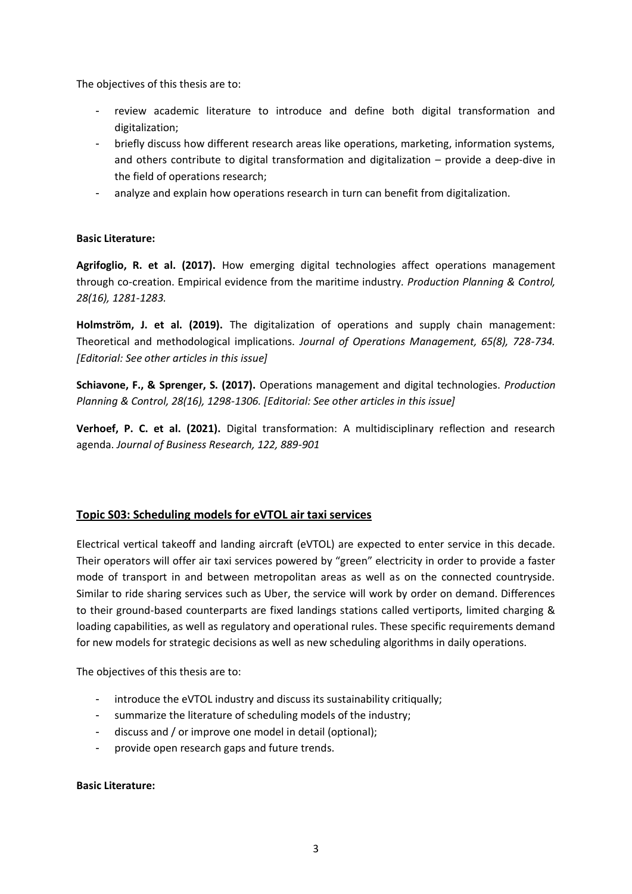The objectives of this thesis are to:

- review academic literature to introduce and define both digital transformation and digitalization;
- briefly discuss how different research areas like operations, marketing, information systems, and others contribute to digital transformation and digitalization – provide a deep-dive in the field of operations research;
- analyze and explain how operations research in turn can benefit from digitalization.

# **Basic Literature:**

**Agrifoglio, R. et al. (2017).** How emerging digital technologies affect operations management through co-creation. Empirical evidence from the maritime industry*. Production Planning & Control, 28(16), 1281-1283.*

**Holmström, J. et al. (2019).** The digitalization of operations and supply chain management: Theoretical and methodological implications. *Journal of Operations Management, 65(8), 728-734. [Editorial: See other articles in this issue]*

**Schiavone, F., & Sprenger, S. (2017).** Operations management and digital technologies. *Production Planning & Control, 28(16), 1298-1306. [Editorial: See other articles in this issue]*

**Verhoef, P. C. et al. (2021).** Digital transformation: A multidisciplinary reflection and research agenda. *Journal of Business Research, 122, 889-901*

# <span id="page-4-0"></span>**Topic S03: Scheduling models for eVTOL air taxi services**

Electrical vertical takeoff and landing aircraft (eVTOL) are expected to enter service in this decade. Their operators will offer air taxi services powered by "green" electricity in order to provide a faster mode of transport in and between metropolitan areas as well as on the connected countryside. Similar to ride sharing services such as Uber, the service will work by order on demand. Differences to their ground-based counterparts are fixed landings stations called vertiports, limited charging & loading capabilities, as well as regulatory and operational rules. These specific requirements demand for new models for strategic decisions as well as new scheduling algorithms in daily operations.

The objectives of this thesis are to:

- introduce the eVTOL industry and discuss its sustainability critiqually;
- summarize the literature of scheduling models of the industry;
- discuss and / or improve one model in detail (optional);
- provide open research gaps and future trends.

#### **Basic Literature:**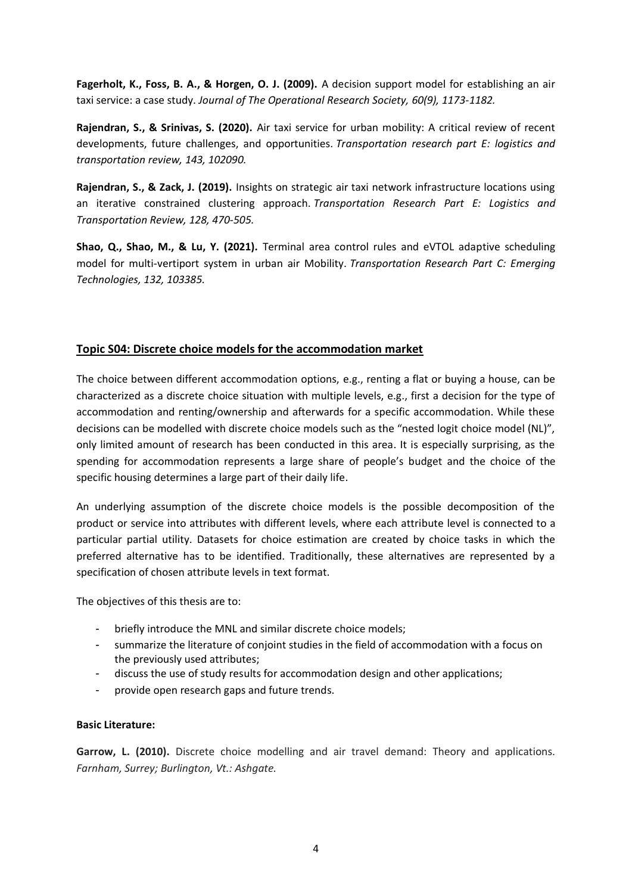**Fagerholt, K., Foss, B. A., & Horgen, O. J. (2009).** A decision support model for establishing an air taxi service: a case study. *Journal of The Operational Research Society, 60(9), 1173-1182.*

**Rajendran, S., & Srinivas, S. (2020).** Air taxi service for urban mobility: A critical review of recent developments, future challenges, and opportunities. *Transportation research part E: logistics and transportation review, 143, 102090.*

**Rajendran, S., & Zack, J. (2019).** Insights on strategic air taxi network infrastructure locations using an iterative constrained clustering approach. *Transportation Research Part E: Logistics and Transportation Review, 128, 470-505.*

**Shao, Q., Shao, M., & Lu, Y. (2021).** Terminal area control rules and eVTOL adaptive scheduling model for multi-vertiport system in urban air Mobility. *Transportation Research Part C: Emerging Technologies, 132, 103385.*

# <span id="page-5-0"></span>**Topic S04: Discrete choice models for the accommodation market**

The choice between different accommodation options, e.g., renting a flat or buying a house, can be characterized as a discrete choice situation with multiple levels, e.g., first a decision for the type of accommodation and renting/ownership and afterwards for a specific accommodation. While these decisions can be modelled with discrete choice models such as the "nested logit choice model (NL)", only limited amount of research has been conducted in this area. It is especially surprising, as the spending for accommodation represents a large share of people's budget and the choice of the specific housing determines a large part of their daily life.

An underlying assumption of the discrete choice models is the possible decomposition of the product or service into attributes with different levels, where each attribute level is connected to a particular partial utility. Datasets for choice estimation are created by choice tasks in which the preferred alternative has to be identified. Traditionally, these alternatives are represented by a specification of chosen attribute levels in text format.

The objectives of this thesis are to:

- briefly introduce the MNL and similar discrete choice models;
- summarize the literature of conjoint studies in the field of accommodation with a focus on the previously used attributes;
- discuss the use of study results for accommodation design and other applications;
- provide open research gaps and future trends.

# **Basic Literature:**

Garrow, L. (2010). Discrete choice modelling and air travel demand: Theory and applications. *Farnham, Surrey; Burlington, Vt.: Ashgate.*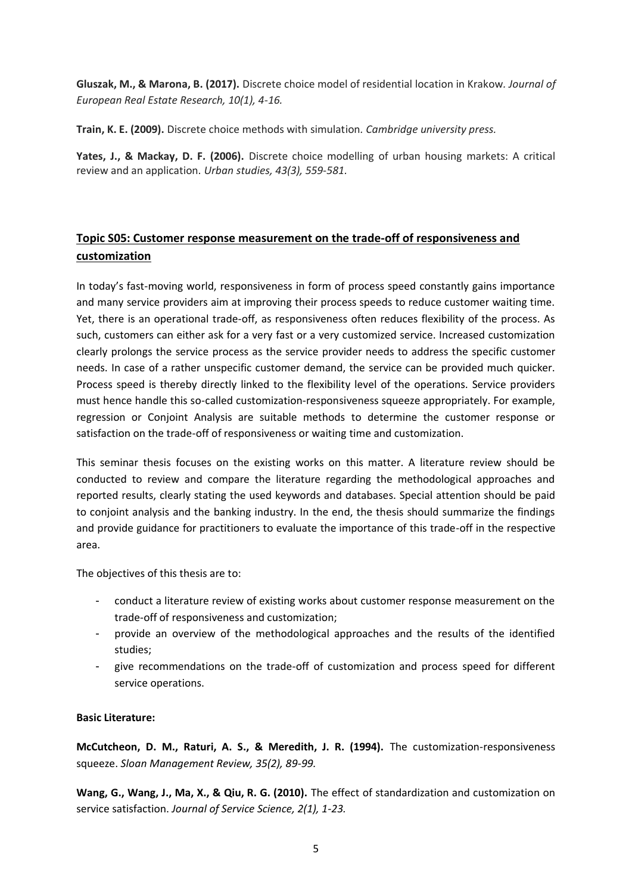**Gluszak, M., & Marona, B. (2017).** Discrete choice model of residential location in Krakow*. Journal of European Real Estate Research, 10(1), 4-16.*

**Train, K. E. (2009).** Discrete choice methods with simulation*. Cambridge university press.*

**Yates, J., & Mackay, D. F. (2006).** Discrete choice modelling of urban housing markets: A critical review and an application. *Urban studies, 43(3), 559-581.*

# <span id="page-6-0"></span>**Topic S05: Customer response measurement on the trade-off of responsiveness and customization**

In today's fast-moving world, responsiveness in form of process speed constantly gains importance and many service providers aim at improving their process speeds to reduce customer waiting time. Yet, there is an operational trade-off, as responsiveness often reduces flexibility of the process. As such, customers can either ask for a very fast or a very customized service. Increased customization clearly prolongs the service process as the service provider needs to address the specific customer needs. In case of a rather unspecific customer demand, the service can be provided much quicker. Process speed is thereby directly linked to the flexibility level of the operations. Service providers must hence handle this so-called customization-responsiveness squeeze appropriately. For example, regression or Conjoint Analysis are suitable methods to determine the customer response or satisfaction on the trade-off of responsiveness or waiting time and customization.

This seminar thesis focuses on the existing works on this matter. A literature review should be conducted to review and compare the literature regarding the methodological approaches and reported results, clearly stating the used keywords and databases. Special attention should be paid to conjoint analysis and the banking industry. In the end, the thesis should summarize the findings and provide guidance for practitioners to evaluate the importance of this trade-off in the respective area.

The objectives of this thesis are to:

- conduct a literature review of existing works about customer response measurement on the trade-off of responsiveness and customization;
- provide an overview of the methodological approaches and the results of the identified studies;
- give recommendations on the trade-off of customization and process speed for different service operations.

# **Basic Literature:**

**McCutcheon, D. M., Raturi, A. S., & Meredith, J. R. (1994).** The customization-responsiveness squeeze. *Sloan Management Review, 35(2), 89-99.*

**Wang, G., Wang, J., Ma, X., & Qiu, R. G. (2010).** The effect of standardization and customization on service satisfaction. *Journal of Service Science, 2(1), 1-23.*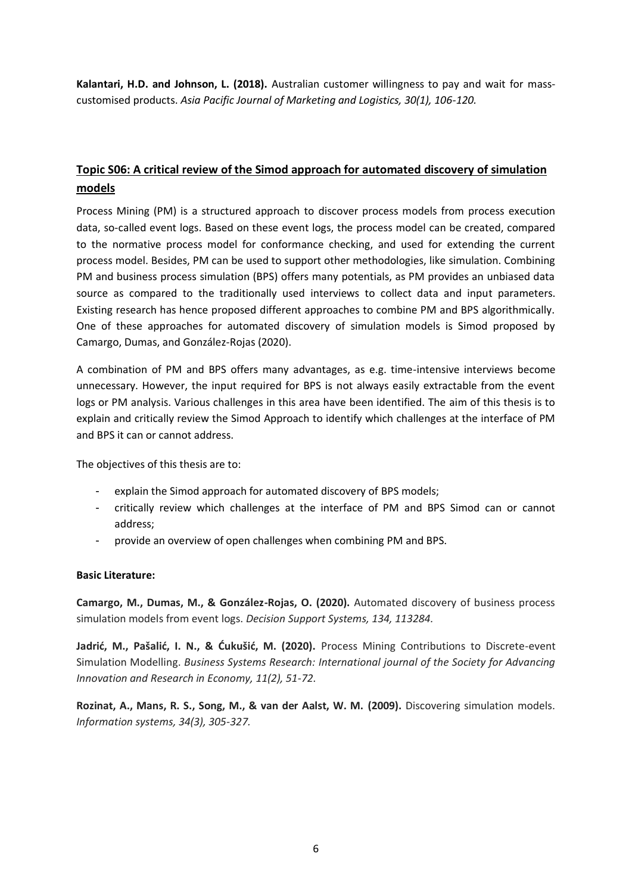**Kalantari, H.D. and Johnson, L. (2018).** Australian customer willingness to pay and wait for masscustomised products. *Asia Pacific Journal of Marketing and Logistics, 30(1), 106-120.*

# <span id="page-7-0"></span>**Topic S06: A critical review of the Simod approach for automated discovery of simulation models**

Process Mining (PM) is a structured approach to discover process models from process execution data, so-called event logs. Based on these event logs, the process model can be created, compared to the normative process model for conformance checking, and used for extending the current process model. Besides, PM can be used to support other methodologies, like simulation. Combining PM and business process simulation (BPS) offers many potentials, as PM provides an unbiased data source as compared to the traditionally used interviews to collect data and input parameters. Existing research has hence proposed different approaches to combine PM and BPS algorithmically. One of these approaches for automated discovery of simulation models is Simod proposed by Camargo, Dumas, and González-Rojas (2020).

A combination of PM and BPS offers many advantages, as e.g. time-intensive interviews become unnecessary. However, the input required for BPS is not always easily extractable from the event logs or PM analysis. Various challenges in this area have been identified. The aim of this thesis is to explain and critically review the Simod Approach to identify which challenges at the interface of PM and BPS it can or cannot address.

The objectives of this thesis are to:

- explain the Simod approach for automated discovery of BPS models;
- critically review which challenges at the interface of PM and BPS Simod can or cannot address;
- provide an overview of open challenges when combining PM and BPS.

#### **Basic Literature:**

**Camargo, M., Dumas, M., & González-Rojas, O. (2020).** Automated discovery of business process simulation models from event logs. *Decision Support Systems, 134, 113284.* 

**Jadrić, M., Pašalić, I. N., & Ćukušić, M. (2020).** Process Mining Contributions to Discrete-event Simulation Modelling. *Business Systems Research: International journal of the Society for Advancing Innovation and Research in Economy, 11(2), 51-72.*

**Rozinat, A., Mans, R. S., Song, M., & van der Aalst, W. M. (2009).** Discovering simulation models. *Information systems, 34(3), 305-327.*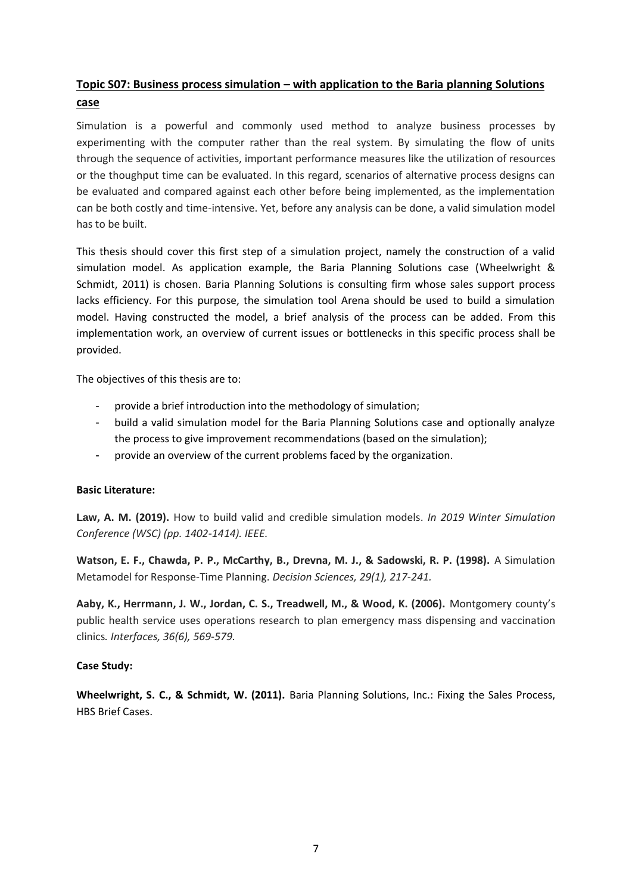# <span id="page-8-0"></span>**Topic S07: Business process simulation – with application to the Baria planning Solutions case**

Simulation is a powerful and commonly used method to analyze business processes by experimenting with the computer rather than the real system. By simulating the flow of units through the sequence of activities, important performance measures like the utilization of resources or the thoughput time can be evaluated. In this regard, scenarios of alternative process designs can be evaluated and compared against each other before being implemented, as the implementation can be both costly and time-intensive. Yet, before any analysis can be done, a valid simulation model has to be built.

This thesis should cover this first step of a simulation project, namely the construction of a valid simulation model. As application example, the Baria Planning Solutions case (Wheelwright & Schmidt, 2011) is chosen. Baria Planning Solutions is consulting firm whose sales support process lacks efficiency. For this purpose, the simulation tool Arena should be used to build a simulation model. Having constructed the model, a brief analysis of the process can be added. From this implementation work, an overview of current issues or bottlenecks in this specific process shall be provided.

The objectives of this thesis are to:

- provide a brief introduction into the methodology of simulation;
- build a valid simulation model for the Baria Planning Solutions case and optionally analyze the process to give improvement recommendations (based on the simulation);
- provide an overview of the current problems faced by the organization.

#### **Basic Literature:**

**Law, A. M. (2019).** How to build valid and credible simulation models. *In 2019 Winter Simulation Conference (WSC) (pp. 1402-1414). IEEE.*

**Watson, E. F., Chawda, P. P., McCarthy, B., Drevna, M. J., & Sadowski, R. P. (1998).** A Simulation Metamodel for Response‐Time Planning. *Decision Sciences, 29(1), 217-241.*

**Aaby, K., Herrmann, J. W., Jordan, C. S., Treadwell, M., & Wood, K. (2006).** Montgomery county's public health service uses operations research to plan emergency mass dispensing and vaccination clinics*. Interfaces, 36(6), 569-579.*

# **Case Study:**

**Wheelwright, S. C., & Schmidt, W. (2011).** Baria Planning Solutions, Inc.: Fixing the Sales Process, HBS Brief Cases.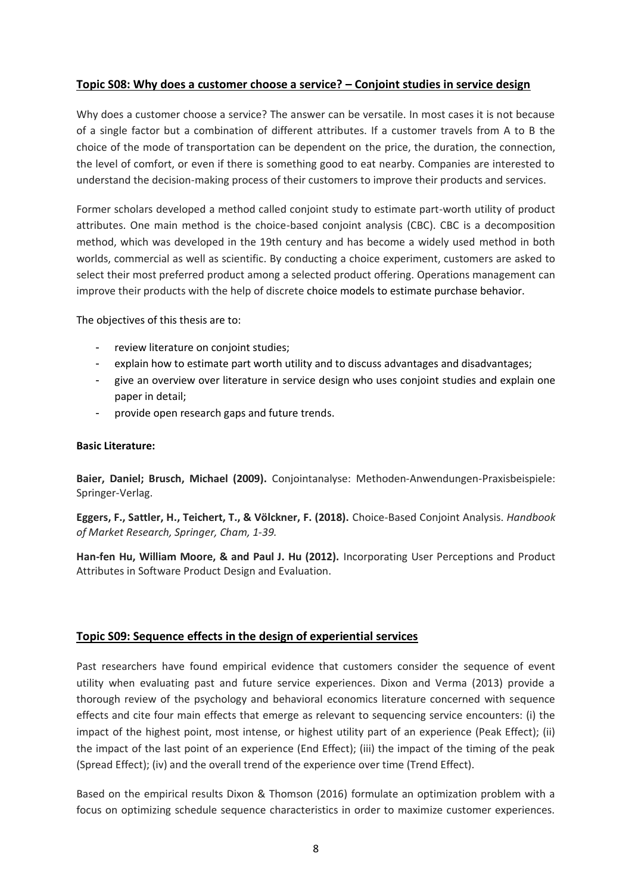# <span id="page-9-0"></span>**Topic S08: Why does a customer choose a service? – Conjoint studies in service design**

Why does a customer choose a service? The answer can be versatile. In most cases it is not because of a single factor but a combination of different attributes. If a customer travels from A to B the choice of the mode of transportation can be dependent on the price, the duration, the connection, the level of comfort, or even if there is something good to eat nearby. Companies are interested to understand the decision-making process of their customers to improve their products and services.

Former scholars developed a method called conjoint study to estimate part-worth utility of product attributes. One main method is the choice-based conjoint analysis (CBC). CBC is a decomposition method, which was developed in the 19th century and has become a widely used method in both worlds, commercial as well as scientific. By conducting a choice experiment, customers are asked to select their most preferred product among a selected product offering. Operations management can improve their products with the help of discrete choice models to estimate purchase behavior.

The objectives of this thesis are to:

- review literature on conjoint studies;
- explain how to estimate part worth utility and to discuss advantages and disadvantages;
- give an overview over literature in service design who uses conjoint studies and explain one paper in detail;
- provide open research gaps and future trends.

#### **Basic Literature:**

**Baier, Daniel; Brusch, Michael (2009).** Conjointanalyse: Methoden-Anwendungen-Praxisbeispiele: Springer-Verlag.

**Eggers, F., Sattler, H., Teichert, T., & Völckner, F. (2018).** Choice-Based Conjoint Analysis. *Handbook of Market Research, Springer, Cham, 1-39.*

**Han-fen Hu, William Moore, & and Paul J. Hu (2012).** Incorporating User Perceptions and Product Attributes in Software Product Design and Evaluation.

#### <span id="page-9-1"></span>**Topic S09: Sequence effects in the design of experiential services**

Past researchers have found empirical evidence that customers consider the sequence of event utility when evaluating past and future service experiences. Dixon and Verma (2013) provide a thorough review of the psychology and behavioral economics literature concerned with sequence effects and cite four main effects that emerge as relevant to sequencing service encounters: (i) the impact of the highest point, most intense, or highest utility part of an experience (Peak Effect); (ii) the impact of the last point of an experience (End Effect); (iii) the impact of the timing of the peak (Spread Effect); (iv) and the overall trend of the experience over time (Trend Effect).

Based on the empirical results Dixon & Thomson (2016) formulate an optimization problem with a focus on optimizing schedule sequence characteristics in order to maximize customer experiences.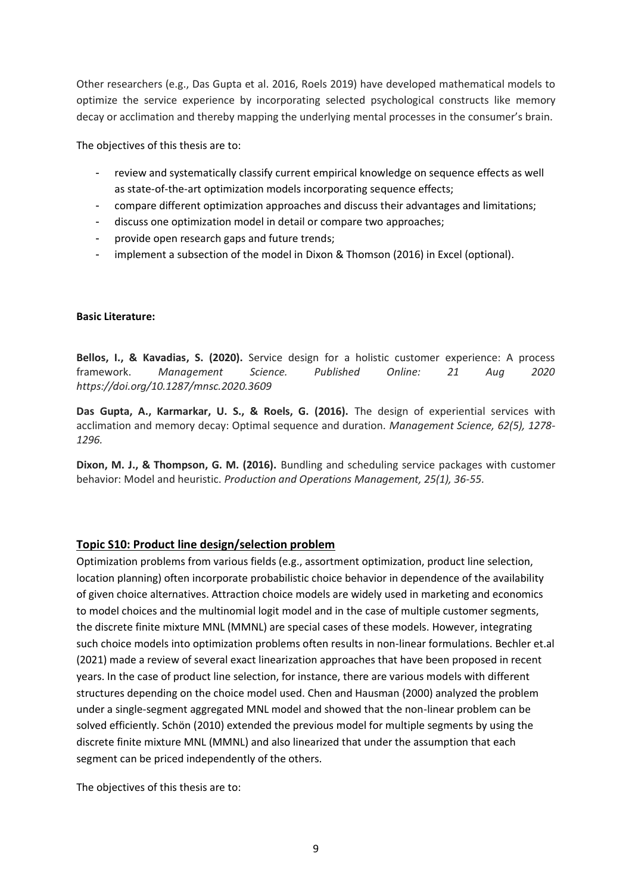Other researchers (e.g., Das Gupta et al. 2016, Roels 2019) have developed mathematical models to optimize the service experience by incorporating selected psychological constructs like memory decay or acclimation and thereby mapping the underlying mental processes in the consumer's brain.

The objectives of this thesis are to:

- review and systematically classify current empirical knowledge on sequence effects as well as state-of-the-art optimization models incorporating sequence effects;
- compare different optimization approaches and discuss their advantages and limitations;
- discuss one optimization model in detail or compare two approaches;
- provide open research gaps and future trends;
- implement a subsection of the model in Dixon & Thomson (2016) in Excel (optional).

#### **Basic Literature:**

**Bellos, I., & Kavadias, S. (2020).** Service design for a holistic customer experience: A process framework. *Management Science. Published Online: 21 Aug 2020 https://doi.org/10.1287/mnsc.2020.3609* 

**Das Gupta, A., Karmarkar, U. S., & Roels, G. (2016).** The design of experiential services with acclimation and memory decay: Optimal sequence and duration. *Management Science, 62(5), 1278- 1296.* 

**Dixon, M. J., & Thompson, G. M. (2016).** Bundling and scheduling service packages with customer behavior: Model and heuristic. *Production and Operations Management, 25(1), 36-55.*

# <span id="page-10-0"></span>**Topic S10: Product line design/selection problem**

Optimization problems from various fields (e.g., assortment optimization, product line selection, location planning) often incorporate probabilistic choice behavior in dependence of the availability of given choice alternatives. Attraction choice models are widely used in marketing and economics to model choices and the multinomial logit model and in the case of multiple customer segments, the discrete finite mixture MNL (MMNL) are special cases of these models. However, integrating such choice models into optimization problems often results in non-linear formulations. Bechler et.al (2021) made a review of several exact linearization approaches that have been proposed in recent years. In the case of product line selection, for instance, there are various models with different structures depending on the choice model used. Chen and Hausman (2000) analyzed the problem under a single-segment aggregated MNL model and showed that the non-linear problem can be solved efficiently. Schön (2010) extended the previous model for multiple segments by using the discrete finite mixture MNL (MMNL) and also linearized that under the assumption that each segment can be priced independently of the others.

The objectives of this thesis are to: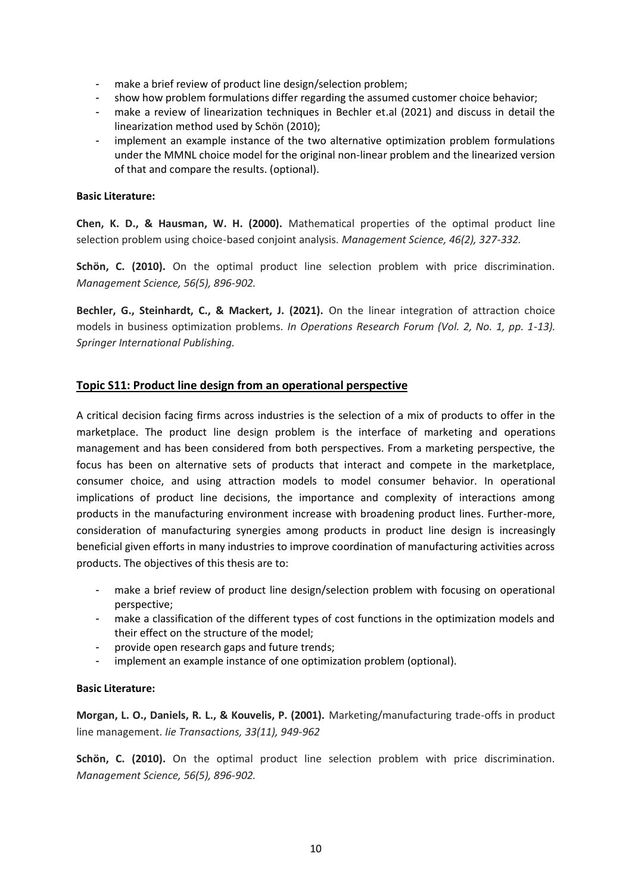- make a brief review of product line design/selection problem;
- show how problem formulations differ regarding the assumed customer choice behavior;
- make a review of linearization techniques in Bechler et.al (2021) and discuss in detail the linearization method used by Schön (2010);
- implement an example instance of the two alternative optimization problem formulations under the MMNL choice model for the original non-linear problem and the linearized version of that and compare the results. (optional).

#### **Basic Literature:**

**Chen, K. D., & Hausman, W. H. (2000).** Mathematical properties of the optimal product line selection problem using choice-based conjoint analysis. *Management Science, 46(2), 327-332.* 

**Schön, C. (2010).** On the optimal product line selection problem with price discrimination. *Management Science, 56(5), 896-902.* 

**Bechler, G., Steinhardt, C., & Mackert, J. (2021).** On the linear integration of attraction choice models in business optimization problems. *In Operations Research Forum (Vol. 2, No. 1, pp. 1-13). Springer International Publishing.*

#### <span id="page-11-0"></span>**Topic S11: Product line design from an operational perspective**

A critical decision facing firms across industries is the selection of a mix of products to offer in the marketplace. The product line design problem is the interface of marketing and operations management and has been considered from both perspectives. From a marketing perspective, the focus has been on alternative sets of products that interact and compete in the marketplace, consumer choice, and using attraction models to model consumer behavior. In operational implications of product line decisions, the importance and complexity of interactions among products in the manufacturing environment increase with broadening product lines. Further-more, consideration of manufacturing synergies among products in product line design is increasingly beneficial given efforts in many industries to improve coordination of manufacturing activities across products. The objectives of this thesis are to:

- make a brief review of product line design/selection problem with focusing on operational perspective;
- make a classification of the different types of cost functions in the optimization models and their effect on the structure of the model;
- provide open research gaps and future trends;
- implement an example instance of one optimization problem (optional).

#### **Basic Literature:**

**Morgan, L. O., Daniels, R. L., & Kouvelis, P. (2001).** Marketing/manufacturing trade-offs in product line management. *Iie Transactions, 33(11), 949-962*

**Schön, C. (2010).** On the optimal product line selection problem with price discrimination. *Management Science, 56(5), 896-902.*